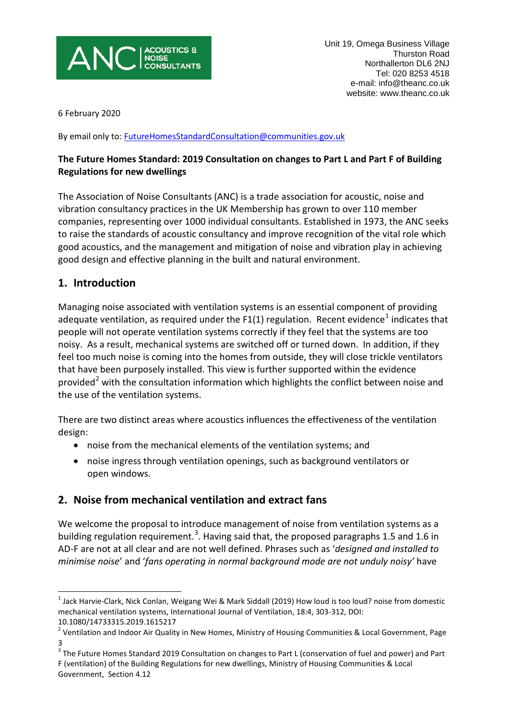

6 February 2020

By email only to: [FutureHomesStandardConsultation@communities.gov.uk](mailto:FutureHomesStandardConsultation@communities.gov.uk)

### **The Future Homes Standard: 2019 Consultation on changes to Part L and Part F of Building Regulations for new dwellings**

The Association of Noise Consultants (ANC) is a trade association for acoustic, noise and vibration consultancy practices in the UK Membership has grown to over 110 member companies, representing over 1000 individual consultants. Established in 1973, the ANC seeks to raise the standards of acoustic consultancy and improve recognition of the vital role which good acoustics, and the management and mitigation of noise and vibration play in achieving good design and effective planning in the built and natural environment.

## **1. Introduction**

Managing noise associated with ventilation systems is an essential component of providing adequate ventilation, as required under the F[1](#page-3-0)(1) regulation. Recent evidence<sup>1</sup> indicates that people will not operate ventilation systems correctly if they feel that the systems are too noisy. As a result, mechanical systems are switched off or turned down. In addition, if they feel too much noise is coming into the homes from outside, they will close trickle ventilators that have been purposely installed. This view is further supported within the evidence provided<sup>[2](#page-0-0)</sup> with the consultation information which highlights the conflict between noise and the use of the ventilation systems.

There are two distinct areas where acoustics influences the effectiveness of the ventilation design:

- noise from the mechanical elements of the ventilation systems; and
- noise ingress through ventilation openings, such as background ventilators or open windows.

# **2. Noise from mechanical ventilation and extract fans**

We welcome the proposal to introduce management of noise from ventilation systems as a building regulation requirement.<sup>[3](#page-0-1)</sup>. Having said that, the proposed paragraphs 1.5 and 1.6 in AD-F are not at all clear and are not well defined. Phrases such as '*designed and installed to minimise noise*' and '*fans operating in normal background mode are not unduly noisy'* have

 $1$  Jack Harvie-Clark, Nick Conlan, Weigang Wei & Mark Siddall (2019) How loud is too loud? noise from domestic mechanical ventilation systems, International Journal of Ventilation, 18:4, 303-312, DOI: 10.1080/14733315.2019.1615217

<span id="page-0-0"></span><sup>&</sup>lt;sup>2</sup> Ventilation and Indoor Air Quality in New Homes, Ministry of Housing Communities & Local Government, Page 3

<span id="page-0-2"></span><span id="page-0-1"></span> $^3$  The Future Homes Standard 2019 Consultation on changes to Part L (conservation of fuel and power) and Part F (ventilation) of the Building Regulations for new dwellings, Ministry of Housing Communities & Local Government, Section 4.12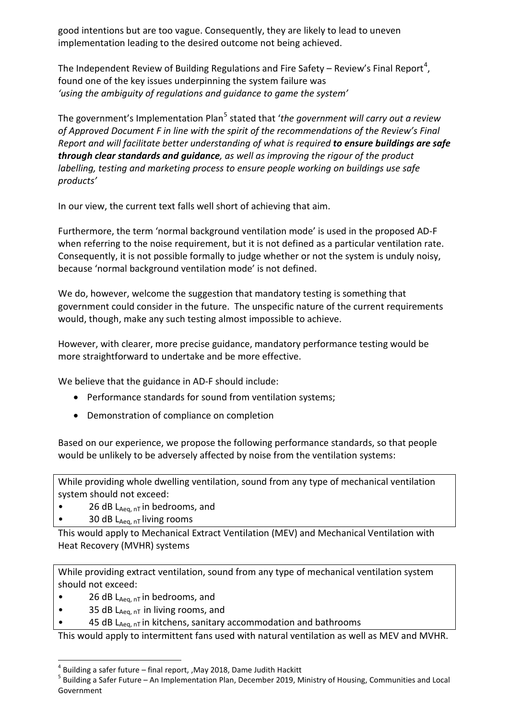good intentions but are too vague. Consequently, they are likely to lead to uneven implementation leading to the desired outcome not being achieved.

The Independent Review of Building Regulations and Fire Safety – Review's Final Report<sup>[4](#page-0-2)</sup>, found one of the key issues underpinning the system failure was *'using the ambiguity of regulations and guidance to game the system'*

The government's Implementation Plan<sup>[5](#page-1-0)</sup> stated that '*the government will carry out a review of Approved Document F in line with the spirit of the recommendations of the Review's Final Report and will facilitate better understanding of what is required to ensure buildings are safe through clear standards and guidance, as well as improving the rigour of the product labelling, testing and marketing process to ensure people working on buildings use safe products'*

In our view, the current text falls well short of achieving that aim.

Furthermore, the term 'normal background ventilation mode' is used in the proposed AD-F when referring to the noise requirement, but it is not defined as a particular ventilation rate. Consequently, it is not possible formally to judge whether or not the system is unduly noisy, because 'normal background ventilation mode' is not defined.

We do, however, welcome the suggestion that mandatory testing is something that government could consider in the future. The unspecific nature of the current requirements would, though, make any such testing almost impossible to achieve.

However, with clearer, more precise guidance, mandatory performance testing would be more straightforward to undertake and be more effective.

We believe that the guidance in AD-F should include:

- Performance standards for sound from ventilation systems;
- Demonstration of compliance on completion

Based on our experience, we propose the following performance standards, so that people would be unlikely to be adversely affected by noise from the ventilation systems:

While providing whole dwelling ventilation, sound from any type of mechanical ventilation system should not exceed:

- 26 dB  $L_{Aeq, nT}$  in bedrooms, and
- 30 dB  $L_{Aeq, nT}$  living rooms

This would apply to Mechanical Extract Ventilation (MEV) and Mechanical Ventilation with Heat Recovery (MVHR) systems

While providing extract ventilation, sound from any type of mechanical ventilation system should not exceed:

- 26 dB  $L_{Aeq, nT}$  in bedrooms, and
- 35 dB  $L_{Aeq, nT}$  in living rooms, and
- 45 dB  $L_{Aeq, nT}$  in kitchens, sanitary accommodation and bathrooms

This would apply to intermittent fans used with natural ventilation as well as MEV and MVHR.

<span id="page-1-0"></span>Building a safer future – final report, ,May 2018, Dame Judith Hackitt<br>Building a Safer Future – An Implementation Plan, December 2019, Ministry of Housing, Communities and Local Government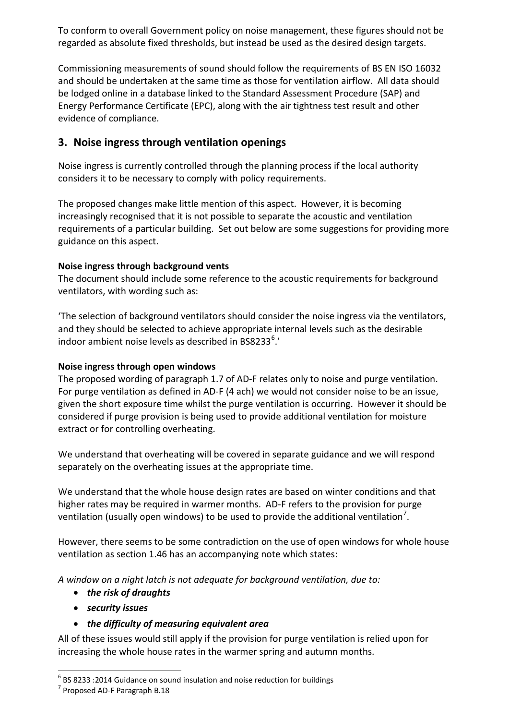To conform to overall Government policy on noise management, these figures should not be regarded as absolute fixed thresholds, but instead be used as the desired design targets.

Commissioning measurements of sound should follow the requirements of BS EN ISO 16032 and should be undertaken at the same time as those for ventilation airflow. All data should be lodged online in a database linked to the Standard Assessment Procedure (SAP) and Energy Performance Certificate (EPC), along with the air tightness test result and other evidence of compliance.

# **3. Noise ingress through ventilation openings**

Noise ingress is currently controlled through the planning process if the local authority considers it to be necessary to comply with policy requirements.

The proposed changes make little mention of this aspect. However, it is becoming increasingly recognised that it is not possible to separate the acoustic and ventilation requirements of a particular building. Set out below are some suggestions for providing more guidance on this aspect.

### **Noise ingress through background vents**

The document should include some reference to the acoustic requirements for background ventilators, with wording such as:

'The selection of background ventilators should consider the noise ingress via the ventilators, and they should be selected to achieve appropriate internal levels such as the desirable indoor ambient noise levels as described in BS8233 $<sup>6</sup>$  $<sup>6</sup>$  $<sup>6</sup>$ .'</sup>

#### **Noise ingress through open windows**

The proposed wording of paragraph 1.7 of AD-F relates only to noise and purge ventilation. For purge ventilation as defined in AD-F (4 ach) we would not consider noise to be an issue, given the short exposure time whilst the purge ventilation is occurring. However it should be considered if purge provision is being used to provide additional ventilation for moisture extract or for controlling overheating.

We understand that overheating will be covered in separate guidance and we will respond separately on the overheating issues at the appropriate time.

We understand that the whole house design rates are based on winter conditions and that higher rates may be required in warmer months. AD-F refers to the provision for purge ventilation (usually open windows) to be used to provide the additional ventilation<sup>[7](#page-2-0)</sup>.

However, there seems to be some contradiction on the use of open windows for whole house ventilation as section 1.46 has an accompanying note which states:

*A window on a night latch is not adequate for background ventilation, due to:*

- *the risk of draughts*
- *security issues*
- *the difficulty of measuring equivalent area*

All of these issues would still apply if the provision for purge ventilation is relied upon for increasing the whole house rates in the warmer spring and autumn months.

<span id="page-2-1"></span><span id="page-2-0"></span> $^6$  BS 8233 :2014 Guidance on sound insulation and noise reduction for buildings  $^7$  Proposed AD-F Paragraph B.18